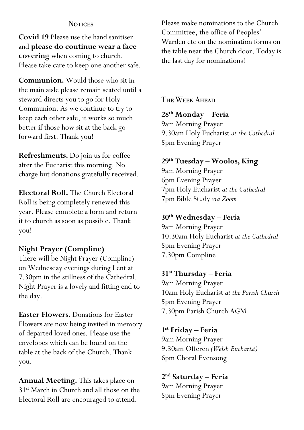#### **NOTICES**

**Covid 19** Please use the hand sanitiser and **please do continue wear a face covering** when coming to church. Please take care to keep one another safe.

**Communion.** Would those who sit in the main aisle please remain seated until a steward directs you to go for Holy Communion. As we continue to try to keep each other safe, it works so much better if those how sit at the back go forward first. Thank you!

**Refreshments.** Do join us for coffee after the Eucharist this morning. No charge but donations gratefully received.

**Electoral Roll.** The Church Electoral Roll is being completely renewed this year. Please complete a form and return it to church as soon as possible. Thank you!

## **Night Prayer (Compline)**

There will be Night Prayer (Compline) on Wednesday evenings during Lent at 7.30pm in the stillness of the Cathedral. Night Prayer is a lovely and fitting end to the day.

**Easter Flowers.** Donations for Easter Flowers are now being invited in memory of departed loved ones. Please use the envelopes which can be found on the table at the back of the Church. Thank you.

**Annual Meeting.** This takes place on 31st March in Church and all those on the Electoral Roll are encouraged to attend.

Please make nominations to the Church Committee, the office of Peoples' Warden etc on the nomination forms on the table near the Church door. Today is the last day for nominations!

The Week Ahead

#### **28th Monday – Feria**

9am Morning Prayer 9.30am Holy Eucharist *at the Cathedral* 5pm Evening Prayer

## **29th Tuesday – Woolos, King**

9am Morning Prayer 6pm Evening Prayer 7pm Holy Eucharist *at the Cathedral* 7pm Bible Study *via Zoom*

## **30th Wednesday – Feria**

9am Morning Prayer 10.30am Holy Eucharist *at the Cathedral* 5pm Evening Prayer 7.30pm Compline

**31st Thursday – Feria**

9am Morning Prayer 10am Holy Eucharist *at the Parish Church* 5pm Evening Prayer 7.30pm Parish Church AGM

**1st Friday – Feria**

9am Morning Prayer 9.30am Offeren *(Welsh Eucharist)* 6pm Choral Evensong

**2nd Saturday – Feria** 9am Morning Prayer 5pm Evening Prayer